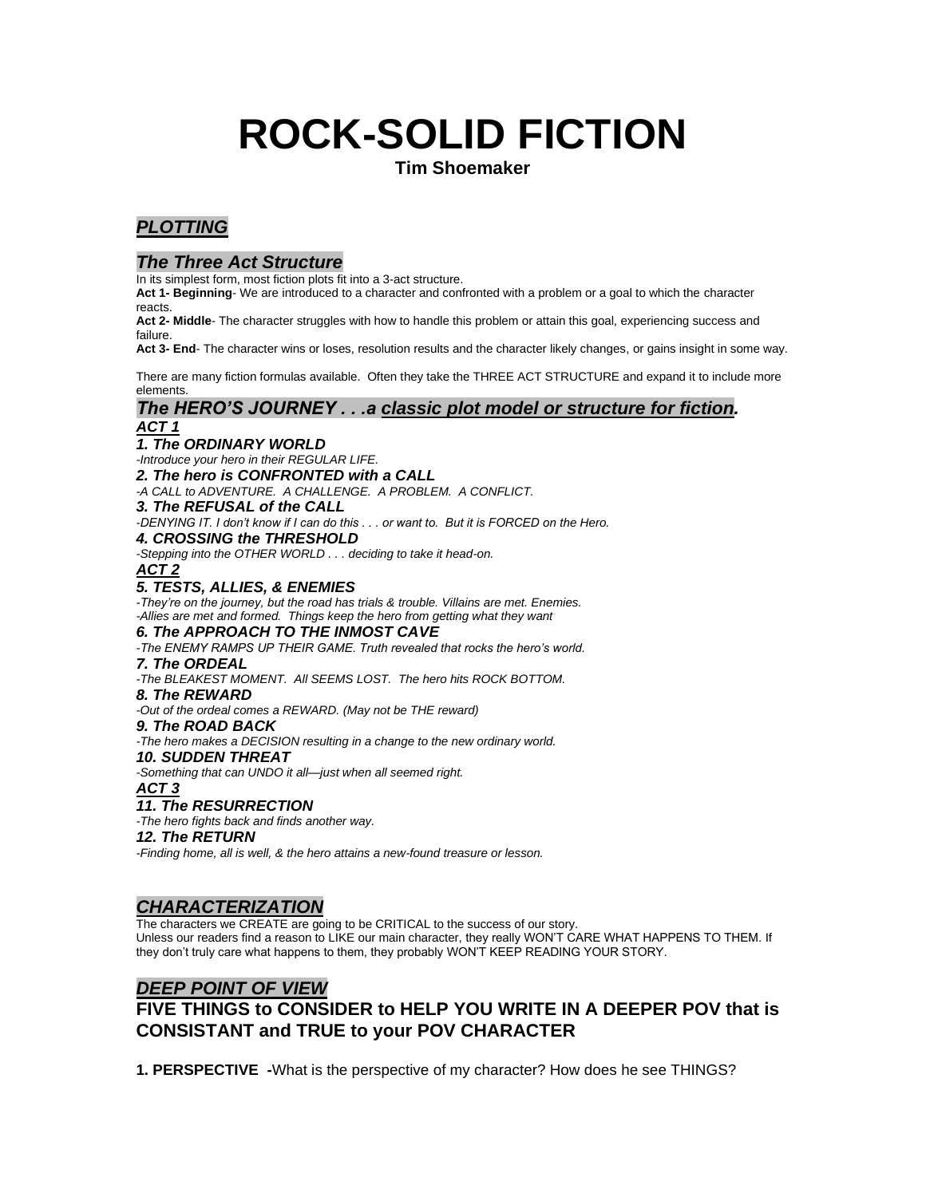# **ROCK-SOLID FICTION**

**Tim Shoemaker**

# *PLOTTING*

# *The Three Act Structure*

In its simplest form, most fiction plots fit into a 3-act structure.

**Act 1- Beginning**- We are introduced to a character and confronted with a problem or a goal to which the character reacts.

**Act 2- Middle**- The character struggles with how to handle this problem or attain this goal, experiencing success and failure.

**Act 3- End**- The character wins or loses, resolution results and the character likely changes, or gains insight in some way.

There are many fiction formulas available. Often they take the THREE ACT STRUCTURE and expand it to include more elements.

## *The HERO'S JOURNEY . . .a classic plot model or structure for fiction. ACT 1*

# *1. The ORDINARY WORLD*

*-Introduce your hero in their REGULAR LIFE.* 

*2. The hero is CONFRONTED with a CALL*

*-A CALL to ADVENTURE. A CHALLENGE. A PROBLEM. A CONFLICT.* 

*3. The REFUSAL of the CALL*

*-DENYING IT. I don't know if I can do this . . . or want to. But it is FORCED on the Hero.*

*4. CROSSING the THRESHOLD*

*-Stepping into the OTHER WORLD . . . deciding to take it head-on.*

#### *ACT 2 5. TESTS, ALLIES, & ENEMIES*

*-They're on the journey, but the road has trials & trouble. Villains are met. Enemies. -Allies are met and formed. Things keep the hero from getting what they want*

## *6. The APPROACH TO THE INMOST CAVE*

*-The ENEMY RAMPS UP THEIR GAME. Truth revealed that rocks the hero's world.* 

#### *7. The ORDEAL*

*-The BLEAKEST MOMENT. All SEEMS LOST. The hero hits ROCK BOTTOM.*

*8. The REWARD*

*-Out of the ordeal comes a REWARD. (May not be THE reward)*

*9. The ROAD BACK*

*-The hero makes a DECISION resulting in a change to the new ordinary world.*

*10. SUDDEN THREAT*

*-Something that can UNDO it all—just when all seemed right.*

#### *ACT 3*

#### *11. The RESURRECTION*

*-The hero fights back and finds another way.*

#### *12. The RETURN*

*-Finding home, all is well, & the hero attains a new-found treasure or lesson.*

# *CHARACTERIZATION*

The characters we CREATE are going to be CRITICAL to the success of our story.

Unless our readers find a reason to LIKE our main character, they really WON'T CARE WHAT HAPPENS TO THEM. If they don't truly care what happens to them, they probably WON'T KEEP READING YOUR STORY.

# *DEEP POINT OF VIEW*

# **FIVE THINGS to CONSIDER to HELP YOU WRITE IN A DEEPER POV that is CONSISTANT and TRUE to your POV CHARACTER**

**1. PERSPECTIVE -**What is the perspective of my character? How does he see THINGS?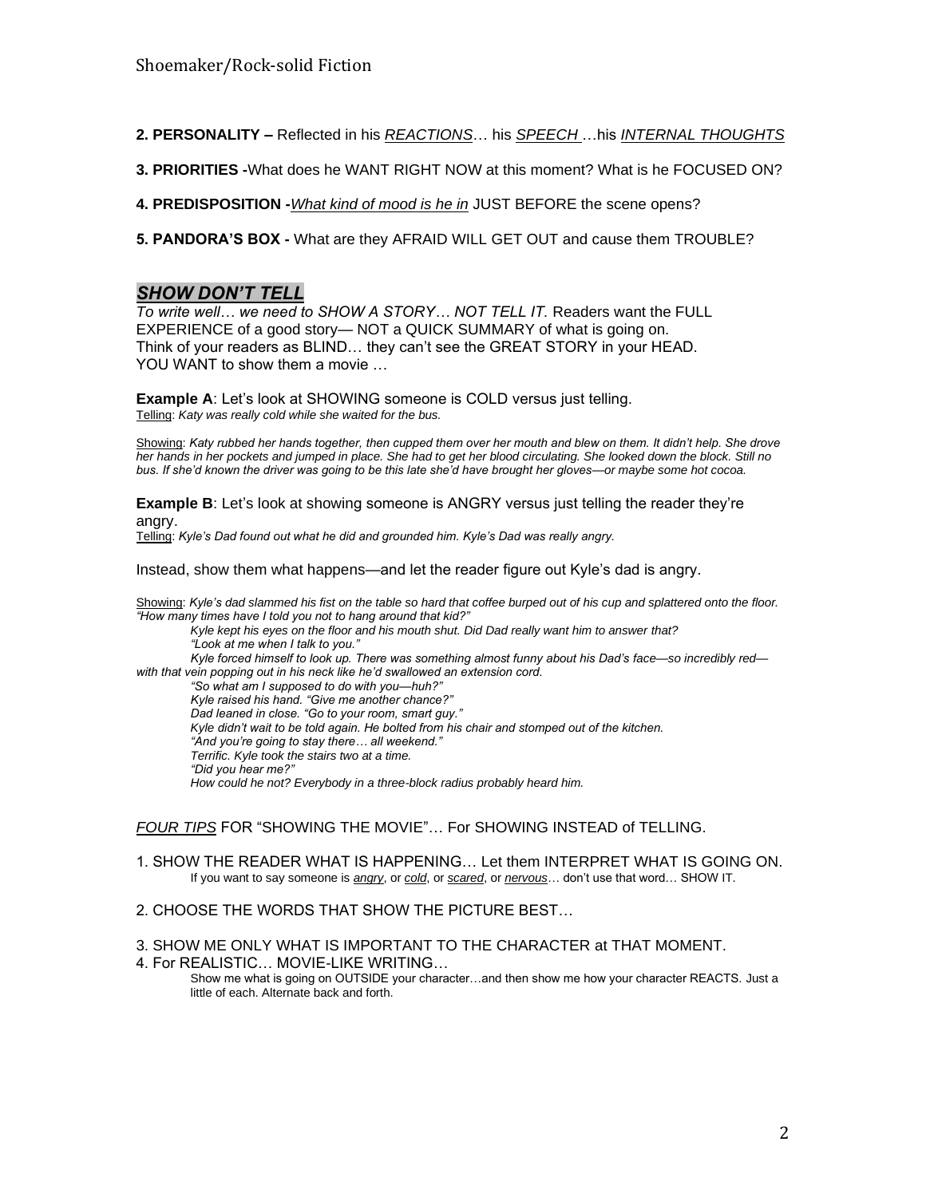- **2. PERSONALITY –** Reflected in his *REACTIONS*… his *SPEECH* …his *INTERNAL THOUGHTS*
- **3. PRIORITIES -**What does he WANT RIGHT NOW at this moment? What is he FOCUSED ON?
- **4. PREDISPOSITION -***What kind of mood is he in* JUST BEFORE the scene opens?
- **5. PANDORA'S BOX -** What are they AFRAID WILL GET OUT and cause them TROUBLE?

# *SHOW DON'T TELL*

*To write well… we need to SHOW A STORY… NOT TELL IT.* Readers want the FULL EXPERIENCE of a good story— NOT a QUICK SUMMARY of what is going on. Think of your readers as BLIND… they can't see the GREAT STORY in your HEAD. YOU WANT to show them a movie …

**Example A**: Let's look at SHOWING someone is COLD versus just telling. Telling: *Katy was really cold while she waited for the bus.*

Showing: *Katy rubbed her hands together, then cupped them over her mouth and blew on them. It didn't help. She drove her hands in her pockets and jumped in place. She had to get her blood circulating. She looked down the block. Still no bus. If she'd known the driver was going to be this late she'd have brought her gloves—or maybe some hot cocoa.*

**Example B:** Let's look at showing someone is ANGRY versus just telling the reader they're angry.

Telling: *Kyle's Dad found out what he did and grounded him. Kyle's Dad was really angry.*

Instead, show them what happens—and let the reader figure out Kyle's dad is angry.

Showing: *Kyle's dad slammed his fist on the table so hard that coffee burped out of his cup and splattered onto the floor. "How many times have I told you not to hang around that kid?"* 

*Kyle kept his eyes on the floor and his mouth shut. Did Dad really want him to answer that? "Look at me when I talk to you." Kyle forced himself to look up. There was something almost funny about his Dad's face—so incredibly red with that vein popping out in his neck like he'd swallowed an extension cord. "So what am I supposed to do with you—huh?" Kyle raised his hand. "Give me another chance?" Dad leaned in close. "Go to your room, smart guy." Kyle didn't wait to be told again. He bolted from his chair and stomped out of the kitchen. "And you're going to stay there… all weekend." Terrific. Kyle took the stairs two at a time. "Did you hear me?" How could he not? Everybody in a three-block radius probably heard him.*

*FOUR TIPS* FOR "SHOWING THE MOVIE"… For SHOWING INSTEAD of TELLING.

- 1. SHOW THE READER WHAT IS HAPPENING… Let them INTERPRET WHAT IS GOING ON. If you want to say someone is *angry*, or *cold*, or *scared*, or *nervous*… don't use that word… SHOW IT.
- 2. CHOOSE THE WORDS THAT SHOW THE PICTURE BEST…
- 3. SHOW ME ONLY WHAT IS IMPORTANT TO THE CHARACTER at THAT MOMENT.
- 4. For REALISTIC… MOVIE-LIKE WRITING… Show me what is going on OUTSIDE your character…and then show me how your character REACTS. Just a little of each. Alternate back and forth.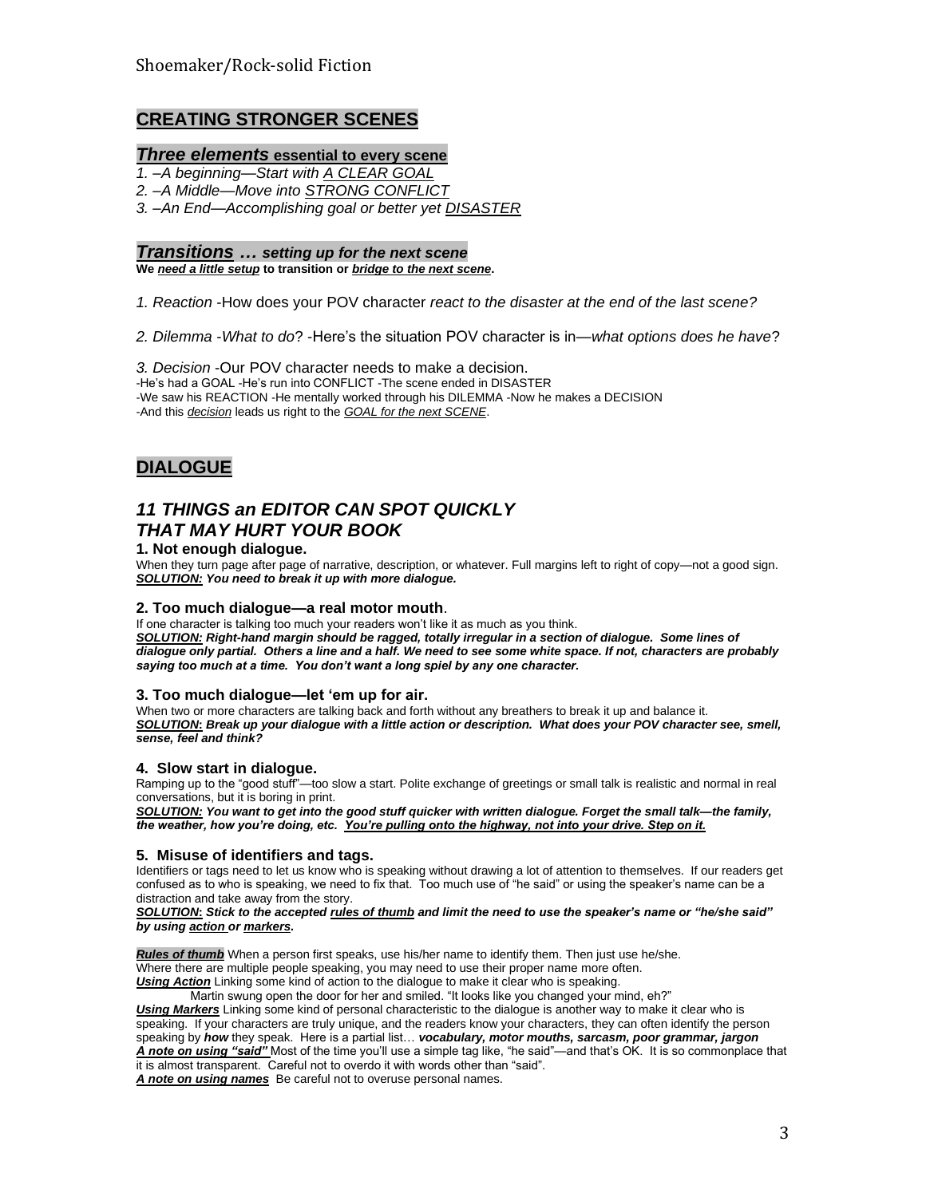# **CREATING STRONGER SCENES**

# *Three elements* **essential to every scene**

- *1. –A beginning—Start with A CLEAR GOAL*
- *2. –A Middle—Move into STRONG CONFLICT*

*3. –An End—Accomplishing goal or better yet DISASTER*

## *Transitions … setting up for the next scene*

**We** *need a little setup* **to transition or** *bridge to the next scene***.**

*1. Reaction* -How does your POV character *react to the disaster at the end of the last scene?*

*2. Dilemma* -*What to do*? -Here's the situation POV character is in—*what options does he have*?

*3. Decision* -Our POV character needs to make a decision. -He's had a GOAL -He's run into CONFLICT -The scene ended in DISASTER -We saw his REACTION -He mentally worked through his DILEMMA -Now he makes a DECISION -And this *decision* leads us right to the *GOAL for the next SCENE*.

# **DIALOGUE**

# *11 THINGS an EDITOR CAN SPOT QUICKLY THAT MAY HURT YOUR BOOK*

#### **1. Not enough dialogue.**

When they turn page after page of narrative, description, or whatever. Full margins left to right of copy—not a good sign. *SOLUTION: You need to break it up with more dialogue.*

#### **2. Too much dialogue—a real motor mouth**.

If one character is talking too much your readers won't like it as much as you think. *SOLUTION: Right-hand margin should be ragged, totally irregular in a section of dialogue. Some lines of dialogue only partial. Others a line and a half. We need to see some white space. If not, characters are probably saying too much at a time. You don't want a long spiel by any one character.* 

#### **3. Too much dialogue—let 'em up for air.**

When two or more characters are talking back and forth without any breathers to break it up and balance it. *SOLUTION***:** *Break up your dialogue with a little action or description. What does your POV character see, smell, sense, feel and think?* 

#### **4. Slow start in dialogue.**

Ramping up to the "good stuff"—too slow a start. Polite exchange of greetings or small talk is realistic and normal in real conversations, but it is boring in print.

*SOLUTION: You want to get into the good stuff quicker with written dialogue. Forget the small talk—the family, the weather, how you're doing, etc. You're pulling onto the highway, not into your drive. Step on it.*

#### **5. Misuse of identifiers and tags.**

Identifiers or tags need to let us know who is speaking without drawing a lot of attention to themselves. If our readers get confused as to who is speaking, we need to fix that. Too much use of "he said" or using the speaker's name can be a distraction and take away from the story.

*SOLUTION***:** *Stick to the accepted rules of thumb and limit the need to use the speaker's name or "he/she said" by using action or markers.*

*Rules of thumb* When a person first speaks, use his/her name to identify them. Then just use he/she. Where there are multiple people speaking, you may need to use their proper name more often.

**Using Action** Linking some kind of action to the dialogue to make it clear who is speaking.

Martin swung open the door for her and smiled. "It looks like you changed your mind, eh?"

*Using Markers* Linking some kind of personal characteristic to the dialogue is another way to make it clear who is speaking. If your characters are truly unique, and the readers know your characters, they can often identify the person speaking by *how* they speak. Here is a partial list… *vocabulary, motor mouths, sarcasm, poor grammar, jargon A note on using "said"* Most of the time you'll use a simple tag like, "he said"—and that's OK. It is so commonplace that it is almost transparent. Careful not to overdo it with words other than "said".

*A note on using names* Be careful not to overuse personal names.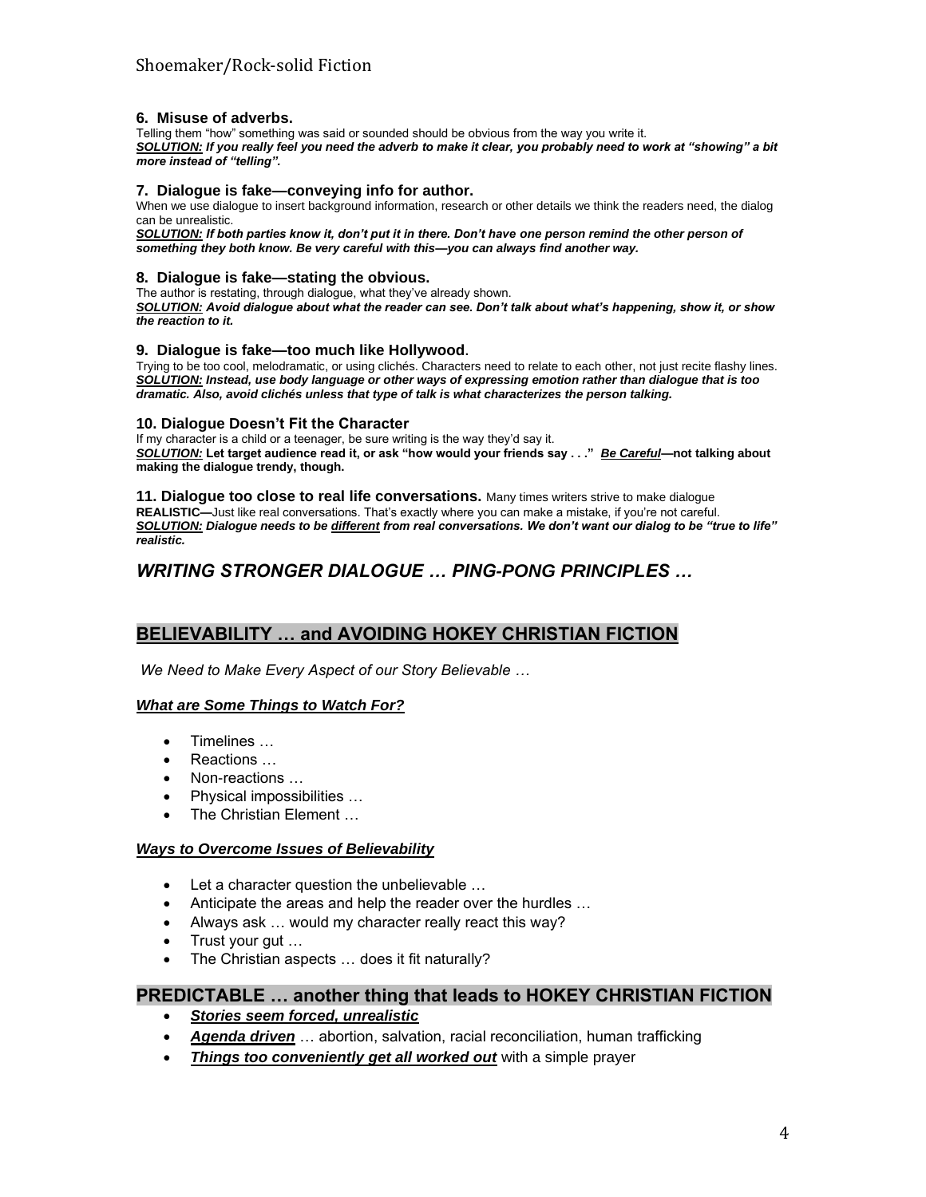#### **6. Misuse of adverbs.**

Telling them "how" something was said or sounded should be obvious from the way you write it. *SOLUTION: If you really feel you need the adverb to make it clear, you probably need to work at "showing" a bit more instead of "telling".* 

#### **7. Dialogue is fake—conveying info for author.**

When we use dialogue to insert background information, research or other details we think the readers need, the dialog can be unrealistic.

*SOLUTION: If both parties know it, don't put it in there. Don't have one person remind the other person of something they both know. Be very careful with this—you can always find another way.*

#### **8. Dialogue is fake—stating the obvious.**

The author is restating, through dialogue, what they've already shown. *SOLUTION: Avoid dialogue about what the reader can see. Don't talk about what's happening, show it, or show the reaction to it.*

#### **9. Dialogue is fake—too much like Hollywood.**

Trying to be too cool, melodramatic, or using clichés. Characters need to relate to each other, not just recite flashy lines. *SOLUTION: Instead, use body language or other ways of expressing emotion rather than dialogue that is too dramatic. Also, avoid clichés unless that type of talk is what characterizes the person talking.*

#### **10. Dialogue Doesn't Fit the Character**

If my character is a child or a teenager, be sure writing is the way they'd say it. *SOLUTION:* **Let target audience read it, or ask "how would your friends say . . ."** *Be Careful***—not talking about making the dialogue trendy, though.**

#### **11. Dialogue too close to real life conversations.** Many times writers strive to make dialogue

**REALISTIC—**Just like real conversations. That's exactly where you can make a mistake, if you're not careful. *SOLUTION: Dialogue needs to be different from real conversations. We don't want our dialog to be "true to life" realistic.* 

# *WRITING STRONGER DIALOGUE … PING-PONG PRINCIPLES …*

# **BELIEVABILITY … and AVOIDING HOKEY CHRISTIAN FICTION**

*We Need to Make Every Aspect of our Story Believable …*

#### *What are Some Things to Watch For?*

- Timelines …
- Reactions …
- Non-reactions …
- Physical impossibilities …
- The Christian Element ...

#### *Ways to Overcome Issues of Believability*

- Let a character question the unbelievable ...
- Anticipate the areas and help the reader over the hurdles …
- Always ask … would my character really react this way?
- Trust your gut …
- The Christian aspects ... does it fit naturally?

# **PREDICTABLE … another thing that leads to HOKEY CHRISTIAN FICTION**

- *Stories seem forced, unrealistic*
- *Agenda driven* … abortion, salvation, racial reconciliation, human trafficking
- *Things too conveniently get all worked out* with a simple prayer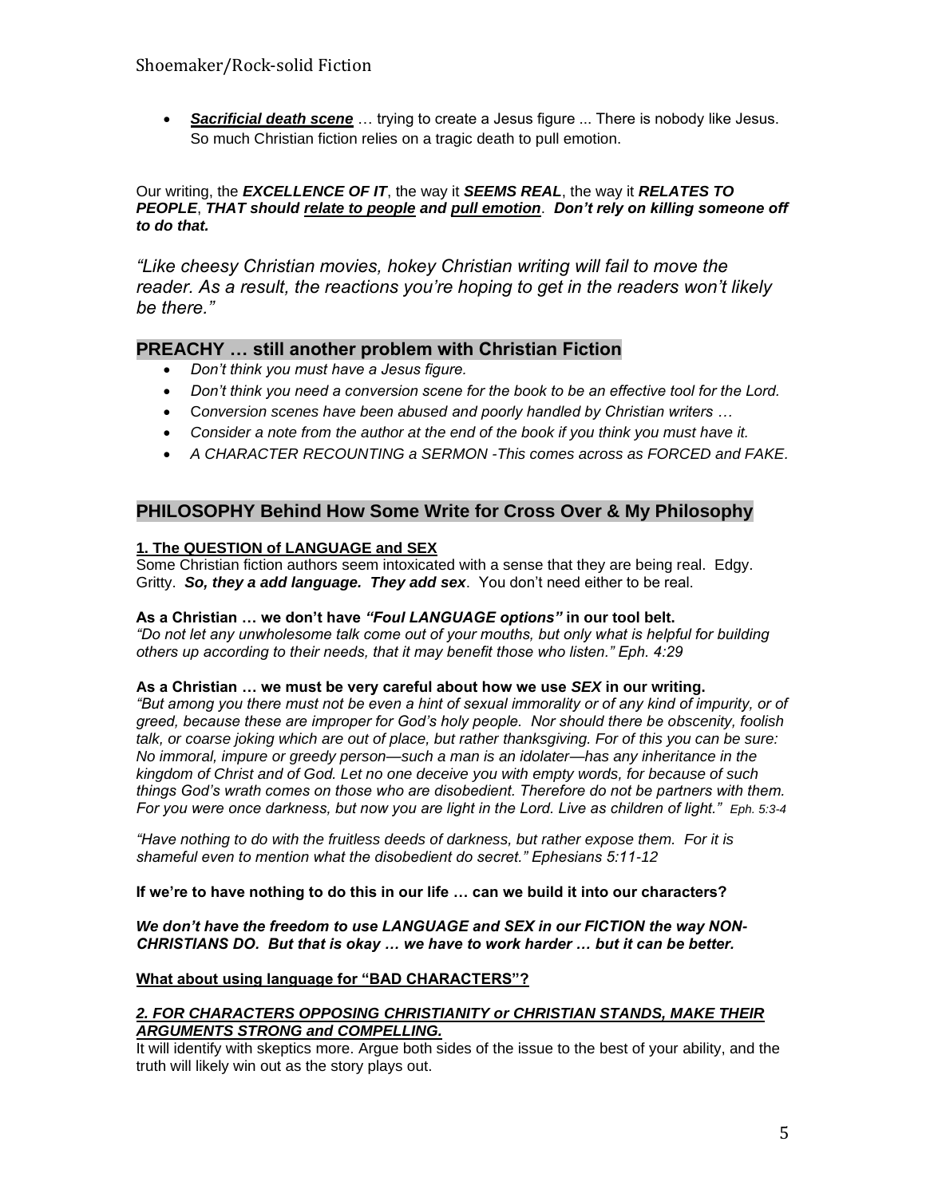• *Sacrificial death scene* … trying to create a Jesus figure ... There is nobody like Jesus. So much Christian fiction relies on a tragic death to pull emotion.

## Our writing, the *EXCELLENCE OF IT*, the way it *SEEMS REAL*, the way it *RELATES TO PEOPLE*, *THAT should relate to people and pull emotion*. *Don't rely on killing someone off to do that.*

*"Like cheesy Christian movies, hokey Christian writing will fail to move the reader. As a result, the reactions you're hoping to get in the readers won't likely be there."*

# **PREACHY … still another problem with Christian Fiction**

- *Don't think you must have a Jesus figure.*
- *Don't think you need a conversion scene for the book to be an effective tool for the Lord.*
- C*onversion scenes have been abused and poorly handled by Christian writers …*
- *Consider a note from the author at the end of the book if you think you must have it.*
- *A CHARACTER RECOUNTING a SERMON -This comes across as FORCED and FAKE.*

# **PHILOSOPHY Behind How Some Write for Cross Over & My Philosophy**

# **1. The QUESTION of LANGUAGE and SEX**

Some Christian fiction authors seem intoxicated with a sense that they are being real. Edgy. Gritty. *So, they a add language. They add sex*. You don't need either to be real.

# **As a Christian … we don't have** *"Foul LANGUAGE options"* **in our tool belt.**

*"Do not let any unwholesome talk come out of your mouths, but only what is helpful for building others up according to their needs, that it may benefit those who listen." Eph. 4:29*

# **As a Christian … we must be very careful about how we use** *SEX* **in our writing.**

*"But among you there must not be even a hint of sexual immorality or of any kind of impurity, or of greed, because these are improper for God's holy people. Nor should there be obscenity, foolish talk, or coarse joking which are out of place, but rather thanksgiving. For of this you can be sure: No immoral, impure or greedy person—such a man is an idolater—has any inheritance in the kingdom of Christ and of God. Let no one deceive you with empty words, for because of such things God's wrath comes on those who are disobedient. Therefore do not be partners with them. For you were once darkness, but now you are light in the Lord. Live as children of light." Eph. 5:3-4*

*"Have nothing to do with the fruitless deeds of darkness, but rather expose them. For it is shameful even to mention what the disobedient do secret." Ephesians 5:11-12*

# **If we're to have nothing to do this in our life … can we build it into our characters?**

## *We don't have the freedom to use LANGUAGE and SEX in our FICTION the way NON-CHRISTIANS DO. But that is okay … we have to work harder … but it can be better.*

# **What about using language for "BAD CHARACTERS"?**

## *2. FOR CHARACTERS OPPOSING CHRISTIANITY or CHRISTIAN STANDS, MAKE THEIR ARGUMENTS STRONG and COMPELLING.*

It will identify with skeptics more. Argue both sides of the issue to the best of your ability, and the truth will likely win out as the story plays out.